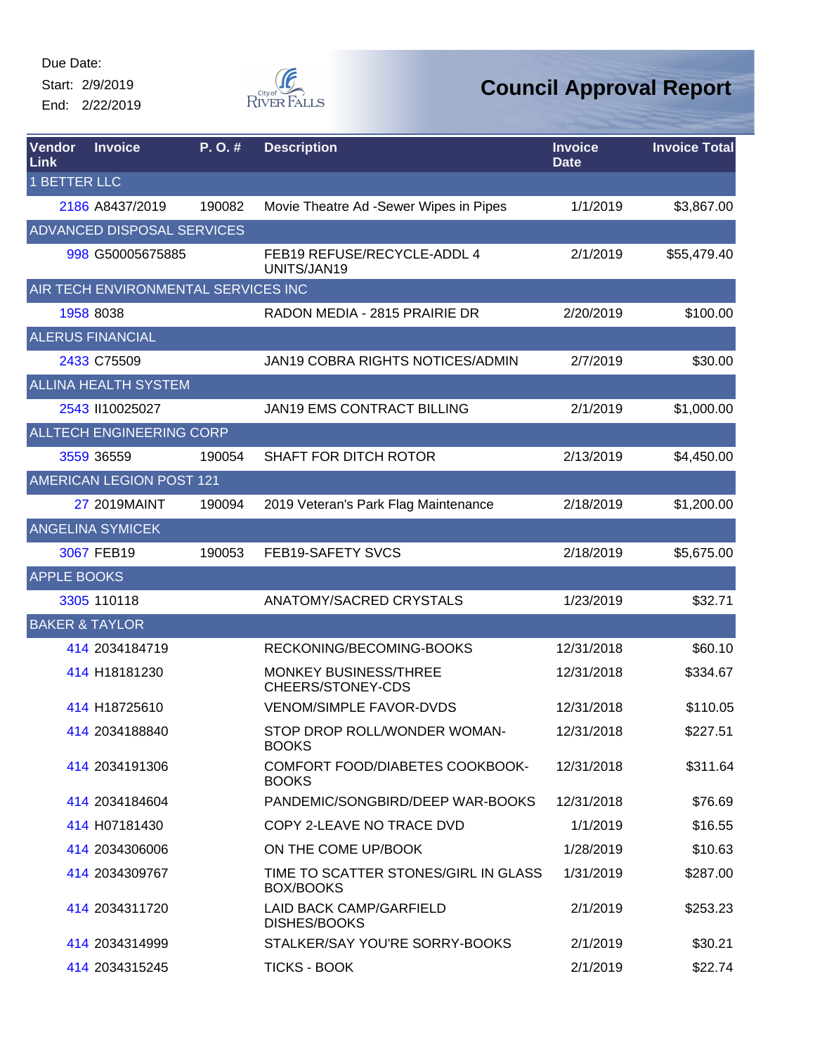Start: 2/9/2019 End: 2/22/2019



| <b>Vendor</b><br>Link     | <b>Invoice</b>                      | P.O.#  | <b>Description</b>                                    | <b>Invoice</b><br><b>Date</b> | <b>Invoice Total</b> |
|---------------------------|-------------------------------------|--------|-------------------------------------------------------|-------------------------------|----------------------|
| <b>1 BETTER LLC</b>       |                                     |        |                                                       |                               |                      |
|                           | 2186 A8437/2019                     | 190082 | Movie Theatre Ad -Sewer Wipes in Pipes                | 1/1/2019                      | \$3,867.00           |
|                           | <b>ADVANCED DISPOSAL SERVICES</b>   |        |                                                       |                               |                      |
|                           | 998 G50005675885                    |        | FEB19 REFUSE/RECYCLE-ADDL 4<br>UNITS/JAN19            | 2/1/2019                      | \$55,479.40          |
|                           | AIR TECH ENVIRONMENTAL SERVICES INC |        |                                                       |                               |                      |
|                           | 1958 8038                           |        | RADON MEDIA - 2815 PRAIRIE DR                         | 2/20/2019                     | \$100.00             |
|                           | <b>ALERUS FINANCIAL</b>             |        |                                                       |                               |                      |
|                           | 2433 C75509                         |        | JAN19 COBRA RIGHTS NOTICES/ADMIN                      | 2/7/2019                      | \$30.00              |
|                           | <b>ALLINA HEALTH SYSTEM</b>         |        |                                                       |                               |                      |
|                           | 2543 II10025027                     |        | JAN19 EMS CONTRACT BILLING                            | 2/1/2019                      | \$1,000.00           |
|                           | ALLTECH ENGINEERING CORP            |        |                                                       |                               |                      |
|                           | 3559 36559                          | 190054 | SHAFT FOR DITCH ROTOR                                 | 2/13/2019                     | \$4,450.00           |
|                           | <b>AMERICAN LEGION POST 121</b>     |        |                                                       |                               |                      |
|                           | 27 2019 MAINT                       | 190094 | 2019 Veteran's Park Flag Maintenance                  | 2/18/2019                     | \$1,200.00           |
|                           | <b>ANGELINA SYMICEK</b>             |        |                                                       |                               |                      |
|                           | 3067 FEB19                          | 190053 | FEB19-SAFETY SVCS                                     | 2/18/2019                     | \$5,675.00           |
| <b>APPLE BOOKS</b>        |                                     |        |                                                       |                               |                      |
|                           | 3305 110118                         |        | ANATOMY/SACRED CRYSTALS                               | 1/23/2019                     | \$32.71              |
| <b>BAKER &amp; TAYLOR</b> |                                     |        |                                                       |                               |                      |
|                           | 414 2034184719                      |        | RECKONING/BECOMING-BOOKS                              | 12/31/2018                    | \$60.10              |
|                           | 414 H18181230                       |        | MONKEY BUSINESS/THREE<br>CHEERS/STONEY-CDS            | 12/31/2018                    | \$334.67             |
|                           | 414 H18725610                       |        | <b>VENOM/SIMPLE FAVOR-DVDS</b>                        | 12/31/2018                    | \$110.05             |
|                           | 414 2034188840                      |        | STOP DROP ROLL/WONDER WOMAN-<br><b>BOOKS</b>          | 12/31/2018                    | \$227.51             |
|                           | 414 2034191306                      |        | COMFORT FOOD/DIABETES COOKBOOK-<br><b>BOOKS</b>       | 12/31/2018                    | \$311.64             |
|                           | 414 2034184604                      |        | PANDEMIC/SONGBIRD/DEEP WAR-BOOKS                      | 12/31/2018                    | \$76.69              |
|                           | 414 H07181430                       |        | COPY 2-LEAVE NO TRACE DVD                             | 1/1/2019                      | \$16.55              |
|                           | 414 2034306006                      |        | ON THE COME UP/BOOK                                   | 1/28/2019                     | \$10.63              |
|                           | 414 2034309767                      |        | TIME TO SCATTER STONES/GIRL IN GLASS<br>BOX/BOOKS     | 1/31/2019                     | \$287.00             |
|                           | 414 2034311720                      |        | <b>LAID BACK CAMP/GARFIELD</b><br><b>DISHES/BOOKS</b> | 2/1/2019                      | \$253.23             |
|                           | 414 2034314999                      |        | STALKER/SAY YOU'RE SORRY-BOOKS                        | 2/1/2019                      | \$30.21              |
|                           | 414 2034315245                      |        | <b>TICKS - BOOK</b>                                   | 2/1/2019                      | \$22.74              |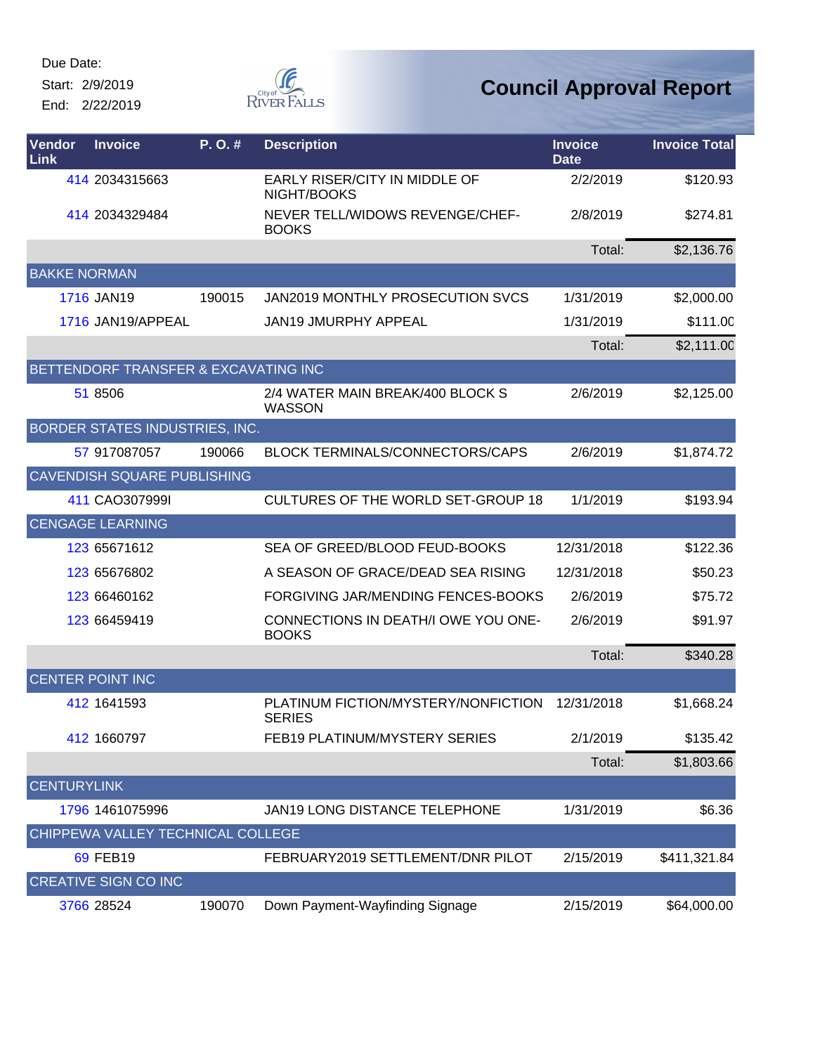Start: 2/9/2019

End: 2/22/2019



| Vendor<br><b>Link</b> | <b>Invoice</b>                        | P.O.#  | <b>Description</b>                                   | <b>Invoice</b><br><b>Date</b> | <b>Invoice Total</b> |
|-----------------------|---------------------------------------|--------|------------------------------------------------------|-------------------------------|----------------------|
|                       | 414 2034315663                        |        | EARLY RISER/CITY IN MIDDLE OF<br>NIGHT/BOOKS         | 2/2/2019                      | \$120.93             |
|                       | 414 2034329484                        |        | NEVER TELL/WIDOWS REVENGE/CHEF-<br><b>BOOKS</b>      | 2/8/2019                      | \$274.81             |
|                       |                                       |        |                                                      | Total:                        | \$2,136.76           |
| <b>BAKKE NORMAN</b>   |                                       |        |                                                      |                               |                      |
|                       | 1716 JAN19                            | 190015 | JAN2019 MONTHLY PROSECUTION SVCS                     | 1/31/2019                     | \$2,000.00           |
|                       | 1716 JAN19/APPEAL                     |        | <b>JAN19 JMURPHY APPEAL</b>                          | 1/31/2019                     | \$111.00             |
|                       |                                       |        |                                                      | Total:                        | \$2,111.00           |
|                       | BETTENDORF TRANSFER & EXCAVATING INC  |        |                                                      |                               |                      |
|                       | 51 8506                               |        | 2/4 WATER MAIN BREAK/400 BLOCK S<br>WASSON           | 2/6/2019                      | \$2,125.00           |
|                       | <b>BORDER STATES INDUSTRIES, INC.</b> |        |                                                      |                               |                      |
|                       | 57 917087057                          | 190066 | <b>BLOCK TERMINALS/CONNECTORS/CAPS</b>               | 2/6/2019                      | \$1,874.72           |
|                       | <b>CAVENDISH SQUARE PUBLISHING</b>    |        |                                                      |                               |                      |
|                       | 411 CAO307999I                        |        | CULTURES OF THE WORLD SET-GROUP 18                   | 1/1/2019                      | \$193.94             |
|                       | <b>CENGAGE LEARNING</b>               |        |                                                      |                               |                      |
|                       | 123 65671612                          |        | SEA OF GREED/BLOOD FEUD-BOOKS                        | 12/31/2018                    | \$122.36             |
|                       | 123 65676802                          |        | A SEASON OF GRACE/DEAD SEA RISING                    | 12/31/2018                    | \$50.23              |
|                       | 123 66460162                          |        | FORGIVING JAR/MENDING FENCES-BOOKS                   | 2/6/2019                      | \$75.72              |
|                       | 123 66459419                          |        | CONNECTIONS IN DEATH/I OWE YOU ONE-<br><b>BOOKS</b>  | 2/6/2019                      | \$91.97              |
|                       |                                       |        |                                                      | Total:                        | \$340.28             |
|                       | <b>CENTER POINT INC</b>               |        |                                                      |                               |                      |
|                       | 412 1641593                           |        | PLATINUM FICTION/MYSTERY/NONFICTION<br><b>SERIES</b> | 12/31/2018                    | \$1,668.24           |
|                       | 412 1660797                           |        | FEB19 PLATINUM/MYSTERY SERIES                        | 2/1/2019                      | \$135.42             |
|                       |                                       |        |                                                      | Total:                        | \$1,803.66           |
| <b>CENTURYLINK</b>    |                                       |        |                                                      |                               |                      |
|                       | 1796 1461075996                       |        | <b>JAN19 LONG DISTANCE TELEPHONE</b>                 | 1/31/2019                     | \$6.36               |
|                       | CHIPPEWA VALLEY TECHNICAL COLLEGE     |        |                                                      |                               |                      |
|                       | 69 FEB19                              |        | FEBRUARY2019 SETTLEMENT/DNR PILOT                    | 2/15/2019                     | \$411,321.84         |
|                       | <b>CREATIVE SIGN CO INC</b>           |        |                                                      |                               |                      |
|                       | 3766 28524                            | 190070 | Down Payment-Wayfinding Signage                      | 2/15/2019                     | \$64,000.00          |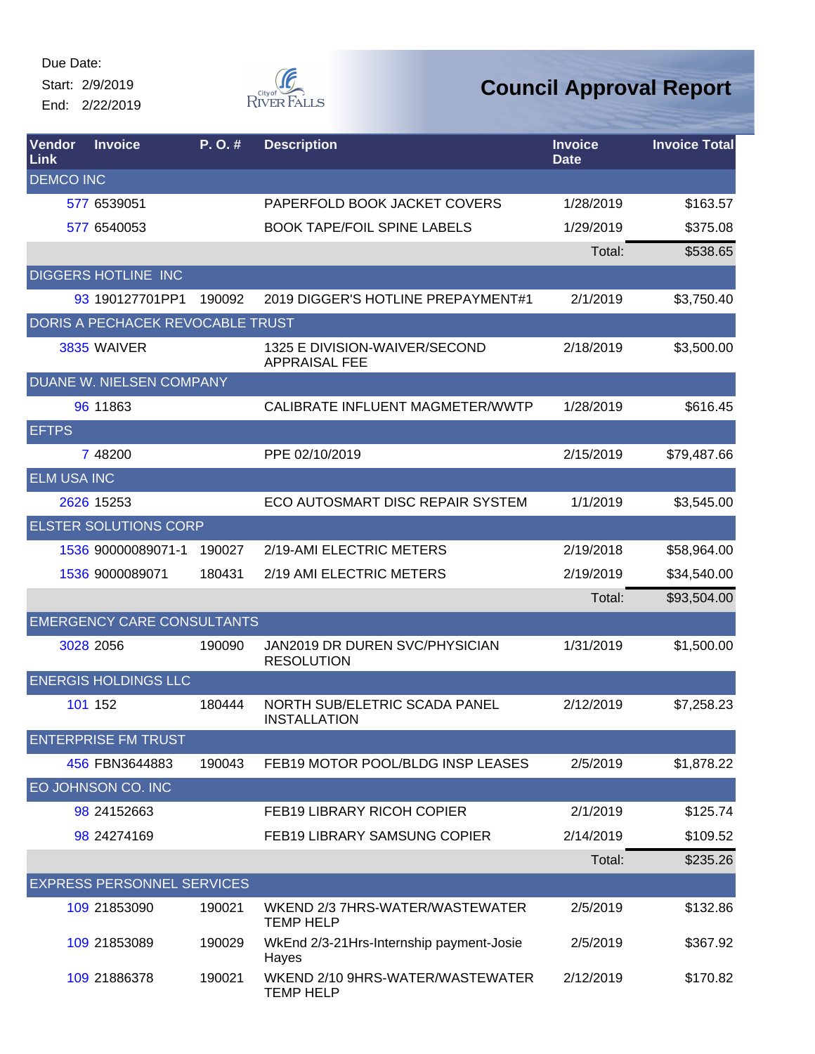Start: 2/9/2019 End: 2/22/2019



| <b>Vendor</b><br>Link | <b>Invoice</b>                    | P.O.#  | <b>Description</b>                                    | <b>Invoice</b><br><b>Date</b> | <b>Invoice Total</b> |
|-----------------------|-----------------------------------|--------|-------------------------------------------------------|-------------------------------|----------------------|
| <b>DEMCO INC</b>      |                                   |        |                                                       |                               |                      |
|                       | 577 6539051                       |        | PAPERFOLD BOOK JACKET COVERS                          | 1/28/2019                     | \$163.57             |
|                       | 577 6540053                       |        | <b>BOOK TAPE/FOIL SPINE LABELS</b>                    | 1/29/2019                     | \$375.08             |
|                       |                                   |        |                                                       | Total:                        | \$538.65             |
|                       | <b>DIGGERS HOTLINE INC</b>        |        |                                                       |                               |                      |
|                       | 93 190127701PP1                   | 190092 | 2019 DIGGER'S HOTLINE PREPAYMENT#1                    | 2/1/2019                      | \$3,750.40           |
|                       | DORIS A PECHACEK REVOCABLE TRUST  |        |                                                       |                               |                      |
|                       | 3835 WAIVER                       |        | 1325 E DIVISION-WAIVER/SECOND<br><b>APPRAISAL FEE</b> | 2/18/2019                     | \$3,500.00           |
|                       | DUANE W. NIELSEN COMPANY          |        |                                                       |                               |                      |
|                       | 96 11863                          |        | CALIBRATE INFLUENT MAGMETER/WWTP                      | 1/28/2019                     | \$616.45             |
| <b>EFTPS</b>          |                                   |        |                                                       |                               |                      |
|                       | 7 48200                           |        | PPE 02/10/2019                                        | 2/15/2019                     | \$79,487.66          |
| <b>ELM USA INC</b>    |                                   |        |                                                       |                               |                      |
|                       | 2626 15253                        |        | ECO AUTOSMART DISC REPAIR SYSTEM                      | 1/1/2019                      | \$3,545.00           |
|                       | <b>ELSTER SOLUTIONS CORP</b>      |        |                                                       |                               |                      |
|                       | 1536 90000089071-1                | 190027 | 2/19-AMI ELECTRIC METERS                              | 2/19/2018                     | \$58,964.00          |
|                       | 1536 9000089071                   | 180431 | 2/19 AMI ELECTRIC METERS                              | 2/19/2019                     | \$34,540.00          |
|                       |                                   |        |                                                       | Total:                        | \$93,504.00          |
|                       | <b>EMERGENCY CARE CONSULTANTS</b> |        |                                                       |                               |                      |
|                       | 3028 2056                         | 190090 | JAN2019 DR DUREN SVC/PHYSICIAN<br><b>RESOLUTION</b>   | 1/31/2019                     | \$1,500.00           |
|                       | <b>ENERGIS HOLDINGS LLC</b>       |        |                                                       |                               |                      |
|                       | 101 152                           | 180444 | NORTH SUB/ELETRIC SCADA PANEL<br><b>INSTALLATION</b>  | 2/12/2019                     | \$7,258.23           |
|                       | <b>ENTERPRISE FM TRUST</b>        |        |                                                       |                               |                      |
|                       | 456 FBN3644883                    | 190043 | FEB19 MOTOR POOL/BLDG INSP LEASES                     | 2/5/2019                      | \$1,878.22           |
|                       | EO JOHNSON CO. INC                |        |                                                       |                               |                      |
|                       | 98 24152663                       |        | <b>FEB19 LIBRARY RICOH COPIER</b>                     | 2/1/2019                      | \$125.74             |
|                       | 98 24274169                       |        | <b>FEB19 LIBRARY SAMSUNG COPIER</b>                   | 2/14/2019                     | \$109.52             |
|                       |                                   |        |                                                       | Total:                        | \$235.26             |
|                       | <b>EXPRESS PERSONNEL SERVICES</b> |        |                                                       |                               |                      |
|                       | 109 21853090                      | 190021 | WKEND 2/3 7HRS-WATER/WASTEWATER<br><b>TEMP HELP</b>   | 2/5/2019                      | \$132.86             |
|                       | 109 21853089                      | 190029 | WkEnd 2/3-21 Hrs-Internship payment-Josie<br>Hayes    | 2/5/2019                      | \$367.92             |
|                       | 109 21886378                      | 190021 | WKEND 2/10 9HRS-WATER/WASTEWATER<br><b>TEMP HELP</b>  | 2/12/2019                     | \$170.82             |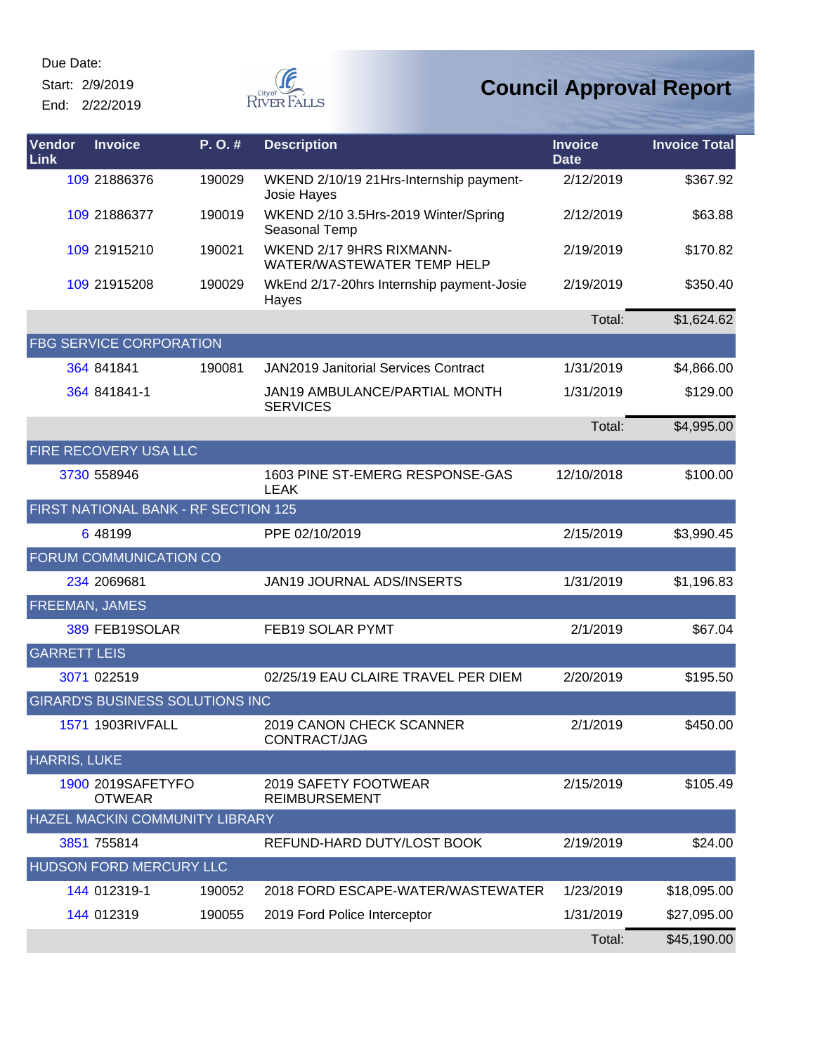Start: 2/9/2019

End: 2/22/2019



| <b>Vendor</b><br>Link | <b>Invoice</b>                     | P.O.#                                  | <b>Description</b>                                            | <b>Invoice</b><br><b>Date</b> | <b>Invoice Total</b> |
|-----------------------|------------------------------------|----------------------------------------|---------------------------------------------------------------|-------------------------------|----------------------|
|                       | 109 21886376                       | 190029                                 | WKEND 2/10/19 21Hrs-Internship payment-<br>Josie Hayes        | 2/12/2019                     | \$367.92             |
|                       | 109 21886377                       | 190019                                 | WKEND 2/10 3.5Hrs-2019 Winter/Spring<br>Seasonal Temp         | 2/12/2019                     | \$63.88              |
|                       | 109 21915210                       | 190021                                 | WKEND 2/17 9HRS RIXMANN-<br><b>WATER/WASTEWATER TEMP HELP</b> | 2/19/2019                     | \$170.82             |
|                       | 109 21915208                       | 190029                                 | WkEnd 2/17-20hrs Internship payment-Josie<br>Hayes            | 2/19/2019                     | \$350.40             |
|                       |                                    |                                        |                                                               | Total:                        | \$1,624.62           |
|                       | <b>FBG SERVICE CORPORATION</b>     |                                        |                                                               |                               |                      |
|                       | 364 841841                         | 190081                                 | <b>JAN2019 Janitorial Services Contract</b>                   | 1/31/2019                     | \$4,866.00           |
|                       | 364 841841-1                       |                                        | JAN19 AMBULANCE/PARTIAL MONTH<br><b>SERVICES</b>              | 1/31/2019                     | \$129.00             |
|                       |                                    |                                        |                                                               | Total:                        | \$4,995.00           |
|                       | <b>FIRE RECOVERY USA LLC</b>       |                                        |                                                               |                               |                      |
|                       | 3730 558946                        |                                        | 1603 PINE ST-EMERG RESPONSE-GAS<br><b>LEAK</b>                | 12/10/2018                    | \$100.00             |
|                       |                                    | FIRST NATIONAL BANK - RF SECTION 125   |                                                               |                               |                      |
|                       | 6 48199                            |                                        | PPE 02/10/2019                                                | 2/15/2019                     | \$3,990.45           |
|                       | FORUM COMMUNICATION CO             |                                        |                                                               |                               |                      |
|                       | 234 2069681                        |                                        | JAN19 JOURNAL ADS/INSERTS                                     | 1/31/2019                     | \$1,196.83           |
| <b>FREEMAN, JAMES</b> |                                    |                                        |                                                               |                               |                      |
|                       | 389 FEB19SOLAR                     |                                        | FEB19 SOLAR PYMT                                              | 2/1/2019                      | \$67.04              |
| <b>GARRETT LEIS</b>   |                                    |                                        |                                                               |                               |                      |
|                       | 3071 022519                        |                                        | 02/25/19 EAU CLAIRE TRAVEL PER DIEM                           | 2/20/2019                     | \$195.50             |
|                       |                                    | <b>GIRARD'S BUSINESS SOLUTIONS INC</b> |                                                               |                               |                      |
|                       | 1571 1903RIVFALL                   |                                        | 2019 CANON CHECK SCANNER<br>CONTRACT/JAG                      | 2/1/2019                      | \$450.00             |
| <b>HARRIS, LUKE</b>   |                                    |                                        |                                                               |                               |                      |
|                       | 1900 2019SAFETYFO<br><b>OTWEAR</b> |                                        | 2019 SAFETY FOOTWEAR<br><b>REIMBURSEMENT</b>                  | 2/15/2019                     | \$105.49             |
|                       |                                    | HAZEL MACKIN COMMUNITY LIBRARY         |                                                               |                               |                      |
|                       | 3851 755814                        |                                        | REFUND-HARD DUTY/LOST BOOK                                    | 2/19/2019                     | \$24.00              |
|                       | HUDSON FORD MERCURY LLC            |                                        |                                                               |                               |                      |
|                       | 144 012319-1                       | 190052                                 | 2018 FORD ESCAPE-WATER/WASTEWATER                             | 1/23/2019                     | \$18,095.00          |
|                       | 144 012319                         | 190055                                 | 2019 Ford Police Interceptor                                  | 1/31/2019                     | \$27,095.00          |
|                       |                                    |                                        |                                                               | Total:                        | \$45,190.00          |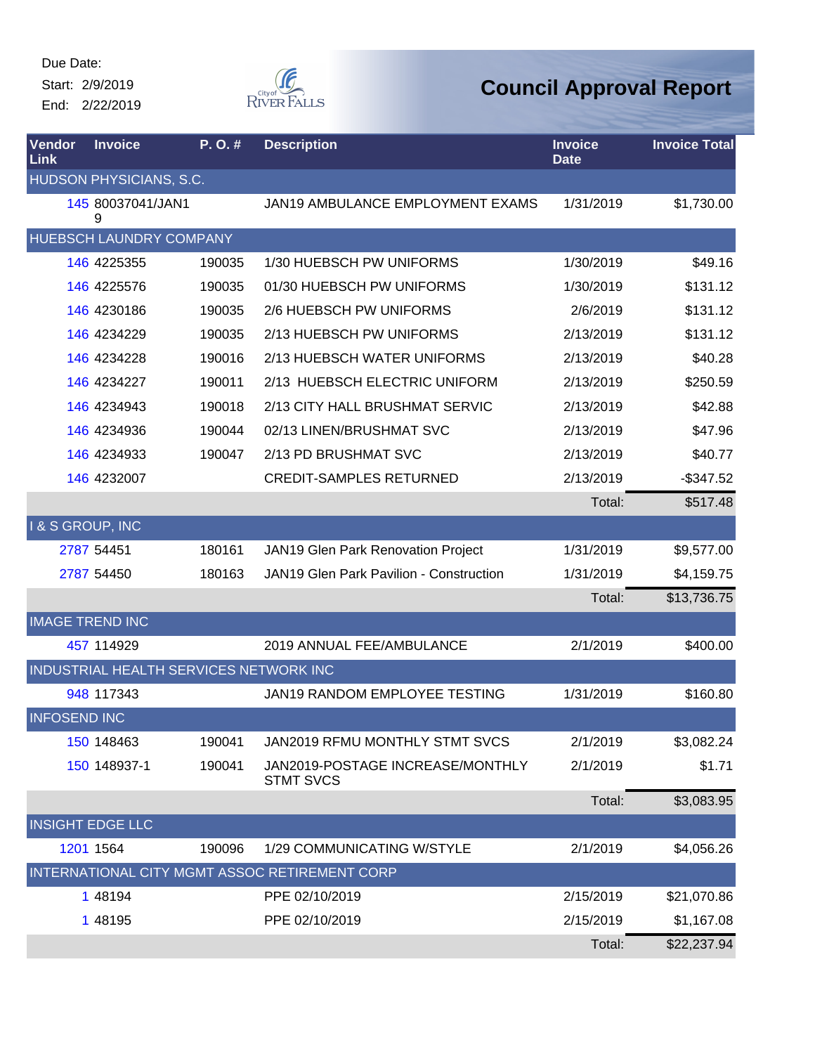Start: 2/9/2019

End: 2/22/2019



| Vendor<br>Link         | <b>Invoice</b>                         | P.O.#  | <b>Description</b>                                   | <b>Invoice</b><br><b>Date</b> | <b>Invoice Total</b> |
|------------------------|----------------------------------------|--------|------------------------------------------------------|-------------------------------|----------------------|
|                        | HUDSON PHYSICIANS, S.C.                |        |                                                      |                               |                      |
|                        | 145 80037041/JAN1<br>9                 |        | JAN19 AMBULANCE EMPLOYMENT EXAMS                     | 1/31/2019                     | \$1,730.00           |
|                        | HUEBSCH LAUNDRY COMPANY                |        |                                                      |                               |                      |
|                        | 146 4225355                            | 190035 | 1/30 HUEBSCH PW UNIFORMS                             | 1/30/2019                     | \$49.16              |
|                        | 146 4225576                            | 190035 | 01/30 HUEBSCH PW UNIFORMS                            | 1/30/2019                     | \$131.12             |
|                        | 146 4230186                            | 190035 | 2/6 HUEBSCH PW UNIFORMS                              | 2/6/2019                      | \$131.12             |
|                        | 146 4234229                            | 190035 | 2/13 HUEBSCH PW UNIFORMS                             | 2/13/2019                     | \$131.12             |
|                        | 146 4234228                            | 190016 | 2/13 HUEBSCH WATER UNIFORMS                          | 2/13/2019                     | \$40.28              |
|                        | 146 4234227                            | 190011 | 2/13 HUEBSCH ELECTRIC UNIFORM                        | 2/13/2019                     | \$250.59             |
|                        | 146 4234943                            | 190018 | 2/13 CITY HALL BRUSHMAT SERVIC                       | 2/13/2019                     | \$42.88              |
|                        | 146 4234936                            | 190044 | 02/13 LINEN/BRUSHMAT SVC                             | 2/13/2019                     | \$47.96              |
|                        | 146 4234933                            | 190047 | 2/13 PD BRUSHMAT SVC                                 | 2/13/2019                     | \$40.77              |
|                        | 146 4232007                            |        | <b>CREDIT-SAMPLES RETURNED</b>                       | 2/13/2019                     | $-$ \$347.52         |
|                        |                                        |        |                                                      | Total:                        | \$517.48             |
| I & S GROUP, INC       |                                        |        |                                                      |                               |                      |
|                        | 2787 54451                             | 180161 | JAN19 Glen Park Renovation Project                   | 1/31/2019                     | \$9,577.00           |
|                        | 2787 54450                             | 180163 | JAN19 Glen Park Pavilion - Construction              | 1/31/2019                     | \$4,159.75           |
|                        |                                        |        |                                                      | Total:                        | \$13,736.75          |
| <b>IMAGE TREND INC</b> |                                        |        |                                                      |                               |                      |
|                        | 457 114929                             |        | 2019 ANNUAL FEE/AMBULANCE                            | 2/1/2019                      | \$400.00             |
|                        | INDUSTRIAL HEALTH SERVICES NETWORK INC |        |                                                      |                               |                      |
|                        | 948 117343                             |        | JAN19 RANDOM EMPLOYEE TESTING                        | 1/31/2019                     | \$160.80             |
| <b>INFOSEND INC</b>    |                                        |        |                                                      |                               |                      |
|                        | 150 148463                             | 190041 | JAN2019 RFMU MONTHLY STMT SVCS                       | 2/1/2019                      | \$3,082.24           |
|                        | 150 148937-1                           | 190041 | JAN2019-POSTAGE INCREASE/MONTHLY<br><b>STMT SVCS</b> | 2/1/2019                      | \$1.71               |
|                        |                                        |        |                                                      | Total:                        | \$3,083.95           |
|                        | <b>INSIGHT EDGE LLC</b>                |        |                                                      |                               |                      |
|                        | 1201 1564                              | 190096 | 1/29 COMMUNICATING W/STYLE                           | 2/1/2019                      | \$4,056.26           |
|                        |                                        |        | INTERNATIONAL CITY MGMT ASSOC RETIREMENT CORP        |                               |                      |
|                        | 1 48194                                |        | PPE 02/10/2019                                       | 2/15/2019                     | \$21,070.86          |
|                        | 1 48195                                |        | PPE 02/10/2019                                       | 2/15/2019                     | \$1,167.08           |
|                        |                                        |        |                                                      | Total:                        | \$22,237.94          |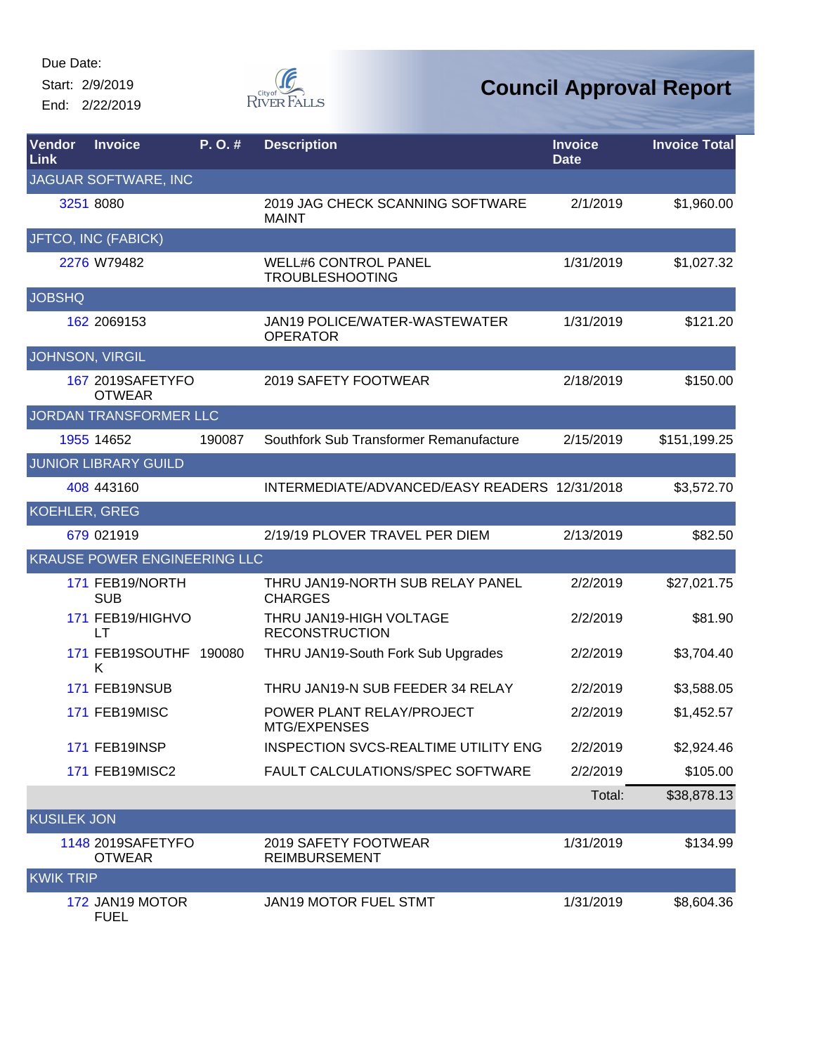Start: 2/9/2019 End: 2/22/2019



| Vendor<br>Link         | <b>Invoice</b>                     | P.O.#  | <b>Description</b>                                    | <b>Invoice</b><br><b>Date</b> | <b>Invoice Total</b> |
|------------------------|------------------------------------|--------|-------------------------------------------------------|-------------------------------|----------------------|
|                        | JAGUAR SOFTWARE, INC               |        |                                                       |                               |                      |
|                        | 3251 8080                          |        | 2019 JAG CHECK SCANNING SOFTWARE<br><b>MAINT</b>      | 2/1/2019                      | \$1,960.00           |
|                        | JFTCO, INC (FABICK)                |        |                                                       |                               |                      |
|                        | 2276 W79482                        |        | <b>WELL#6 CONTROL PANEL</b><br><b>TROUBLESHOOTING</b> | 1/31/2019                     | \$1,027.32           |
| <b>JOBSHQ</b>          |                                    |        |                                                       |                               |                      |
|                        | 162 2069153                        |        | JAN19 POLICE/WATER-WASTEWATER<br><b>OPERATOR</b>      | 1/31/2019                     | \$121.20             |
| <b>JOHNSON, VIRGIL</b> |                                    |        |                                                       |                               |                      |
|                        | 167 2019SAFETYFO<br><b>OTWEAR</b>  |        | 2019 SAFETY FOOTWEAR                                  | 2/18/2019                     | \$150.00             |
|                        | JORDAN TRANSFORMER LLC             |        |                                                       |                               |                      |
|                        | 1955 14652                         | 190087 | Southfork Sub Transformer Remanufacture               | 2/15/2019                     | \$151,199.25         |
|                        | <b>JUNIOR LIBRARY GUILD</b>        |        |                                                       |                               |                      |
|                        | 408 443160                         |        | INTERMEDIATE/ADVANCED/EASY READERS 12/31/2018         |                               | \$3,572.70           |
| <b>KOEHLER, GREG</b>   |                                    |        |                                                       |                               |                      |
|                        | 679 021919                         |        | 2/19/19 PLOVER TRAVEL PER DIEM                        | 2/13/2019                     | \$82.50              |
|                        | KRAUSE POWER ENGINEERING LLC       |        |                                                       |                               |                      |
|                        | 171 FEB19/NORTH<br><b>SUB</b>      |        | THRU JAN19-NORTH SUB RELAY PANEL<br><b>CHARGES</b>    | 2/2/2019                      | \$27,021.75          |
|                        | 171 FEB19/HIGHVO<br>LT             |        | THRU JAN19-HIGH VOLTAGE<br><b>RECONSTRUCTION</b>      | 2/2/2019                      | \$81.90              |
|                        | 171 FEB19SOUTHF 190080<br>Κ        |        | THRU JAN19-South Fork Sub Upgrades                    | 2/2/2019                      | \$3,704.40           |
|                        | 171 FEB19NSUB                      |        | THRU JAN19-N SUB FEEDER 34 RELAY                      | 2/2/2019                      | \$3,588.05           |
|                        | 171 FEB19MISC                      |        | POWER PLANT RELAY/PROJECT<br>MTG/EXPENSES             | 2/2/2019                      | \$1,452.57           |
|                        | 171 FEB19INSP                      |        | <b>INSPECTION SVCS-REALTIME UTILITY ENG</b>           | 2/2/2019                      | \$2,924.46           |
|                        | 171 FEB19MISC2                     |        | FAULT CALCULATIONS/SPEC SOFTWARE                      | 2/2/2019                      | \$105.00             |
|                        |                                    |        |                                                       | Total:                        | \$38,878.13          |
| <b>KUSILEK JON</b>     |                                    |        |                                                       |                               |                      |
|                        | 1148 2019SAFETYFO<br><b>OTWEAR</b> |        | 2019 SAFETY FOOTWEAR<br><b>REIMBURSEMENT</b>          | 1/31/2019                     | \$134.99             |
| <b>KWIK TRIP</b>       |                                    |        |                                                       |                               |                      |
|                        | 172 JAN19 MOTOR<br><b>FUEL</b>     |        | JAN19 MOTOR FUEL STMT                                 | 1/31/2019                     | \$8,604.36           |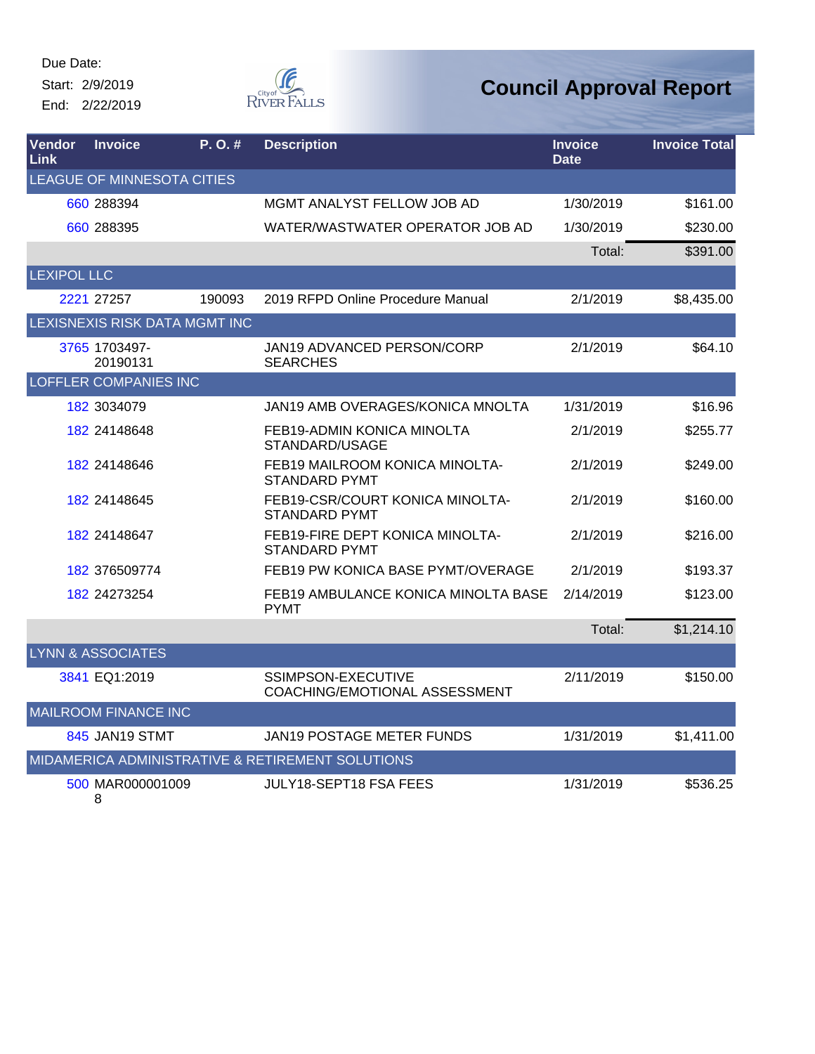Start: 2/9/2019 End: 2/22/2019

Œ RIVER FALLS

### **Council Approval Report**

| Vendor<br>Link     | <b>Invoice</b>                | P.O.#  | <b>Description</b>                                      | <b>Invoice</b><br><b>Date</b> | <b>Invoice Total</b> |
|--------------------|-------------------------------|--------|---------------------------------------------------------|-------------------------------|----------------------|
|                    | LEAGUE OF MINNESOTA CITIES    |        |                                                         |                               |                      |
|                    | 660 288394                    |        | MGMT ANALYST FELLOW JOB AD                              | 1/30/2019                     | \$161.00             |
|                    | 660 288395                    |        | WATER/WASTWATER OPERATOR JOB AD                         | 1/30/2019                     | \$230.00             |
|                    |                               |        |                                                         | Total:                        | \$391.00             |
| <b>LEXIPOL LLC</b> |                               |        |                                                         |                               |                      |
|                    | 2221 27257                    | 190093 | 2019 RFPD Online Procedure Manual                       | 2/1/2019                      | \$8,435.00           |
|                    | LEXISNEXIS RISK DATA MGMT INC |        |                                                         |                               |                      |
|                    | 3765 1703497-<br>20190131     |        | JAN19 ADVANCED PERSON/CORP<br><b>SEARCHES</b>           | 2/1/2019                      | \$64.10              |
|                    | <b>LOFFLER COMPANIES INC</b>  |        |                                                         |                               |                      |
|                    | 182 3034079                   |        | JAN19 AMB OVERAGES/KONICA MNOLTA                        | 1/31/2019                     | \$16.96              |
|                    | 182 24148648                  |        | FEB19-ADMIN KONICA MINOLTA<br>STANDARD/USAGE            | 2/1/2019                      | \$255.77             |
|                    | 182 24148646                  |        | FEB19 MAILROOM KONICA MINOLTA-<br><b>STANDARD PYMT</b>  | 2/1/2019                      | \$249.00             |
|                    | 182 24148645                  |        | FEB19-CSR/COURT KONICA MINOLTA-<br><b>STANDARD PYMT</b> | 2/1/2019                      | \$160.00             |
|                    | 182 24148647                  |        | FEB19-FIRE DEPT KONICA MINOLTA-<br><b>STANDARD PYMT</b> | 2/1/2019                      | \$216.00             |
|                    | 182 376509774                 |        | FEB19 PW KONICA BASE PYMT/OVERAGE                       | 2/1/2019                      | \$193.37             |
|                    | 182 24273254                  |        | FEB19 AMBULANCE KONICA MINOLTA BASE<br><b>PYMT</b>      | 2/14/2019                     | \$123.00             |
|                    |                               |        |                                                         | Total:                        | \$1,214.10           |
|                    | <b>LYNN &amp; ASSOCIATES</b>  |        |                                                         |                               |                      |
|                    | 3841 EQ1:2019                 |        | SSIMPSON-EXECUTIVE<br>COACHING/EMOTIONAL ASSESSMENT     | 2/11/2019                     | \$150.00             |
|                    | <b>MAILROOM FINANCE INC</b>   |        |                                                         |                               |                      |
|                    | 845 JAN19 STMT                |        | JAN19 POSTAGE METER FUNDS                               | 1/31/2019                     | \$1,411.00           |
|                    |                               |        | MIDAMERICA ADMINISTRATIVE & RETIREMENT SOLUTIONS        |                               |                      |
|                    | 500 MAR000001009              |        | JULY18-SEPT18 FSA FEES                                  | 1/31/2019                     | \$536.25             |

8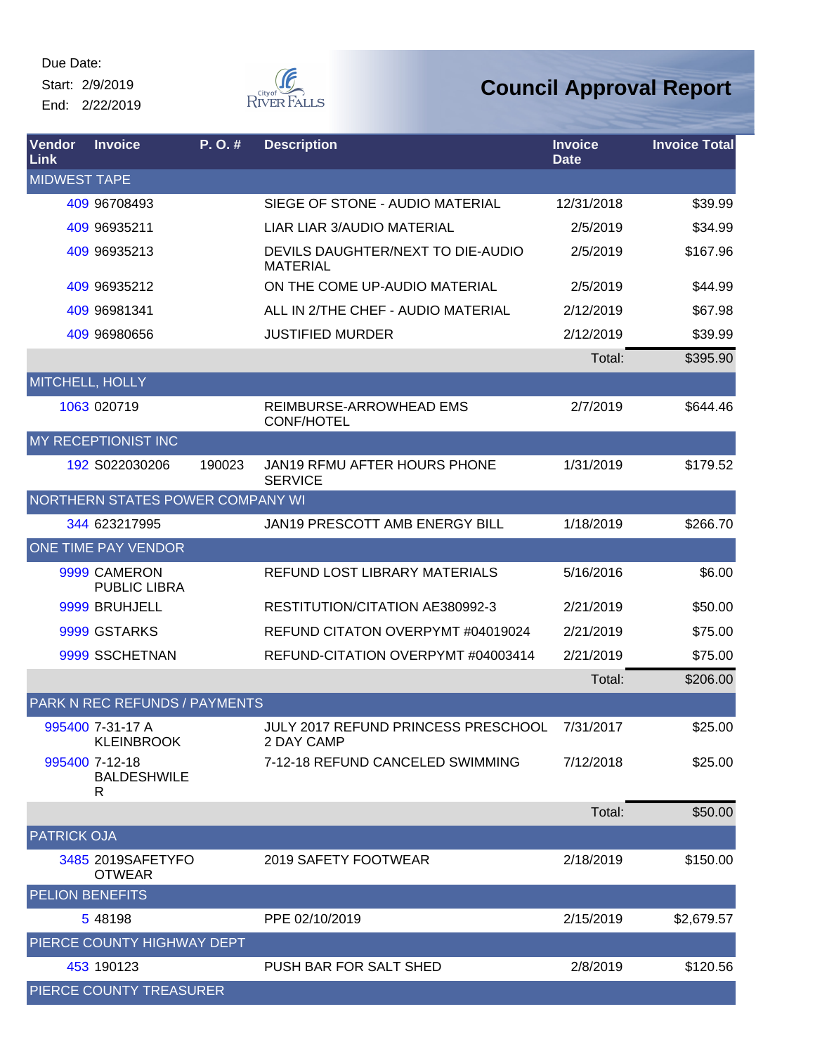Start: 2/9/2019 End: 2/22/2019



| Vendor<br>Link         | <b>Invoice</b>                            | P. O. # | <b>Description</b>                                   | <b>Invoice</b><br><b>Date</b> | <b>Invoice Total</b> |
|------------------------|-------------------------------------------|---------|------------------------------------------------------|-------------------------------|----------------------|
| <b>MIDWEST TAPE</b>    |                                           |         |                                                      |                               |                      |
|                        | 409 96708493                              |         | SIEGE OF STONE - AUDIO MATERIAL                      | 12/31/2018                    | \$39.99              |
|                        | 409 96935211                              |         | LIAR LIAR 3/AUDIO MATERIAL                           | 2/5/2019                      | \$34.99              |
|                        | 409 96935213                              |         | DEVILS DAUGHTER/NEXT TO DIE-AUDIO<br><b>MATERIAL</b> | 2/5/2019                      | \$167.96             |
|                        | 409 96935212                              |         | ON THE COME UP-AUDIO MATERIAL                        | 2/5/2019                      | \$44.99              |
|                        | 409 96981341                              |         | ALL IN 2/THE CHEF - AUDIO MATERIAL                   | 2/12/2019                     | \$67.98              |
|                        | 409 96980656                              |         | <b>JUSTIFIED MURDER</b>                              | 2/12/2019                     | \$39.99              |
|                        |                                           |         |                                                      | Total:                        | \$395.90             |
| MITCHELL, HOLLY        |                                           |         |                                                      |                               |                      |
|                        | 1063 020719                               |         | REIMBURSE-ARROWHEAD EMS<br><b>CONF/HOTEL</b>         | 2/7/2019                      | \$644.46             |
|                        | <b>MY RECEPTIONIST INC</b>                |         |                                                      |                               |                      |
|                        | 192 S022030206                            | 190023  | JAN19 RFMU AFTER HOURS PHONE<br><b>SERVICE</b>       | 1/31/2019                     | \$179.52             |
|                        | NORTHERN STATES POWER COMPANY WI          |         |                                                      |                               |                      |
|                        | 344 623217995                             |         | <b>JAN19 PRESCOTT AMB ENERGY BILL</b>                | 1/18/2019                     | \$266.70             |
|                        | ONE TIME PAY VENDOR                       |         |                                                      |                               |                      |
|                        | 9999 CAMERON<br><b>PUBLIC LIBRA</b>       |         | REFUND LOST LIBRARY MATERIALS                        | 5/16/2016                     | \$6.00               |
|                        | 9999 BRUHJELL                             |         | RESTITUTION/CITATION AE380992-3                      | 2/21/2019                     | \$50.00              |
|                        | 9999 GSTARKS                              |         | REFUND CITATON OVERPYMT #04019024                    | 2/21/2019                     | \$75.00              |
|                        | 9999 SSCHETNAN                            |         | REFUND-CITATION OVERPYMT #04003414                   | 2/21/2019                     | \$75.00              |
|                        |                                           |         |                                                      | Total:                        | \$206.00             |
|                        | <b>PARK N REC REFUNDS / PAYMENTS</b>      |         |                                                      |                               |                      |
|                        | 995400 7-31-17 A<br><b>KLEINBROOK</b>     |         | JULY 2017 REFUND PRINCESS PRESCHOOL<br>2 DAY CAMP    | 7/31/2017                     | \$25.00              |
|                        | 995400 7-12-18<br><b>BALDESHWILE</b><br>R |         | 7-12-18 REFUND CANCELED SWIMMING                     | 7/12/2018                     | \$25.00              |
|                        |                                           |         |                                                      | Total:                        | \$50.00              |
| <b>PATRICK OJA</b>     |                                           |         |                                                      |                               |                      |
|                        | 3485 2019SAFETYFO<br><b>OTWEAR</b>        |         | 2019 SAFETY FOOTWEAR                                 | 2/18/2019                     | \$150.00             |
| <b>PELION BENEFITS</b> |                                           |         |                                                      |                               |                      |
|                        | 5 48198                                   |         | PPE 02/10/2019                                       | 2/15/2019                     | \$2,679.57           |
|                        | PIERCE COUNTY HIGHWAY DEPT                |         |                                                      |                               |                      |
|                        | 453 190123                                |         | PUSH BAR FOR SALT SHED                               | 2/8/2019                      | \$120.56             |
|                        | PIERCE COUNTY TREASURER                   |         |                                                      |                               |                      |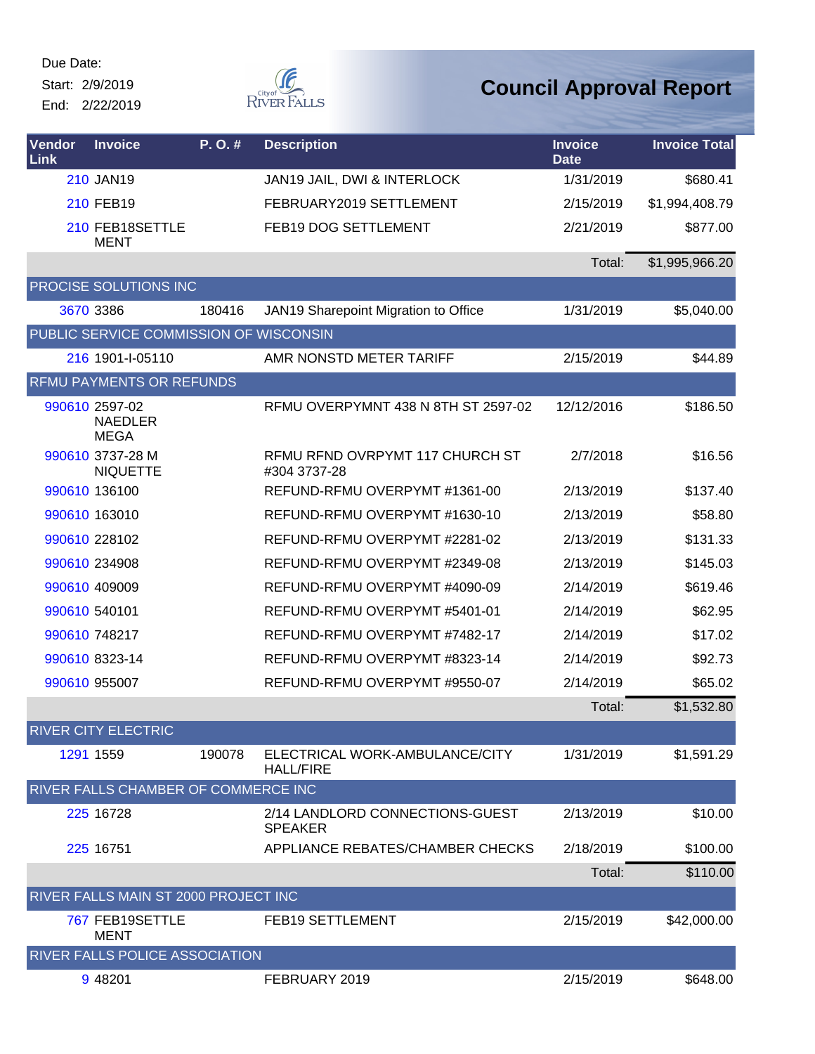Start: 2/9/2019

End: 2/22/2019



| <b>Vendor</b><br><b>Link</b> | <b>Invoice</b>                                  | P.O.#  | <b>Description</b>                                 | <b>Invoice</b><br><b>Date</b> | <b>Invoice Total</b> |
|------------------------------|-------------------------------------------------|--------|----------------------------------------------------|-------------------------------|----------------------|
|                              | 210 JAN19                                       |        | JAN19 JAIL, DWI & INTERLOCK                        | 1/31/2019                     | \$680.41             |
|                              | 210 FEB19                                       |        | FEBRUARY2019 SETTLEMENT                            | 2/15/2019                     | \$1,994,408.79       |
|                              | 210 FEB18SETTLE<br><b>MENT</b>                  |        | FEB19 DOG SETTLEMENT                               | 2/21/2019                     | \$877.00             |
|                              |                                                 |        |                                                    | Total:                        | \$1,995,966.20       |
|                              | PROCISE SOLUTIONS INC                           |        |                                                    |                               |                      |
|                              | 3670 3386                                       | 180416 | JAN19 Sharepoint Migration to Office               | 1/31/2019                     | \$5,040.00           |
|                              | PUBLIC SERVICE COMMISSION OF WISCONSIN          |        |                                                    |                               |                      |
|                              | 216 1901-I-05110                                |        | AMR NONSTD METER TARIFF                            | 2/15/2019                     | \$44.89              |
|                              | RFMU PAYMENTS OR REFUNDS                        |        |                                                    |                               |                      |
|                              | 990610 2597-02<br><b>NAEDLER</b><br><b>MEGA</b> |        | RFMU OVERPYMNT 438 N 8TH ST 2597-02                | 12/12/2016                    | \$186.50             |
|                              | 990610 3737-28 M<br><b>NIQUETTE</b>             |        | RFMU RFND OVRPYMT 117 CHURCH ST<br>#304 3737-28    | 2/7/2018                      | \$16.56              |
|                              | 990610 136100                                   |        | REFUND-RFMU OVERPYMT #1361-00                      | 2/13/2019                     | \$137.40             |
|                              | 990610 163010                                   |        | REFUND-RFMU OVERPYMT #1630-10                      | 2/13/2019                     | \$58.80              |
|                              | 990610 228102                                   |        | REFUND-RFMU OVERPYMT #2281-02                      | 2/13/2019                     | \$131.33             |
|                              | 990610 234908                                   |        | REFUND-RFMU OVERPYMT #2349-08                      | 2/13/2019                     | \$145.03             |
|                              | 990610 409009                                   |        | REFUND-RFMU OVERPYMT #4090-09                      | 2/14/2019                     | \$619.46             |
|                              | 990610 540101                                   |        | REFUND-RFMU OVERPYMT #5401-01                      | 2/14/2019                     | \$62.95              |
|                              | 990610 748217                                   |        | REFUND-RFMU OVERPYMT #7482-17                      | 2/14/2019                     | \$17.02              |
|                              | 990610 8323-14                                  |        | REFUND-RFMU OVERPYMT #8323-14                      | 2/14/2019                     | \$92.73              |
|                              | 990610 955007                                   |        | REFUND-RFMU OVERPYMT #9550-07                      | 2/14/2019                     | \$65.02              |
|                              |                                                 |        |                                                    | Total:                        | \$1,532.80           |
|                              | <b>RIVER CITY ELECTRIC</b>                      |        |                                                    |                               |                      |
|                              | 1291 1559                                       | 190078 | ELECTRICAL WORK-AMBULANCE/CITY<br><b>HALL/FIRE</b> | 1/31/2019                     | \$1,591.29           |
|                              | RIVER FALLS CHAMBER OF COMMERCE INC             |        |                                                    |                               |                      |
|                              | 225 16728                                       |        | 2/14 LANDLORD CONNECTIONS-GUEST<br><b>SPEAKER</b>  | 2/13/2019                     | \$10.00              |
|                              | 225 16751                                       |        | APPLIANCE REBATES/CHAMBER CHECKS                   | 2/18/2019                     | \$100.00             |
|                              |                                                 |        |                                                    | Total:                        | \$110.00             |
|                              | RIVER FALLS MAIN ST 2000 PROJECT INC            |        |                                                    |                               |                      |
|                              | 767 FEB19SETTLE<br><b>MENT</b>                  |        | FEB19 SETTLEMENT                                   | 2/15/2019                     | \$42,000.00          |
|                              | RIVER FALLS POLICE ASSOCIATION                  |        |                                                    |                               |                      |
|                              | 9 48 201                                        |        | FEBRUARY 2019                                      | 2/15/2019                     | \$648.00             |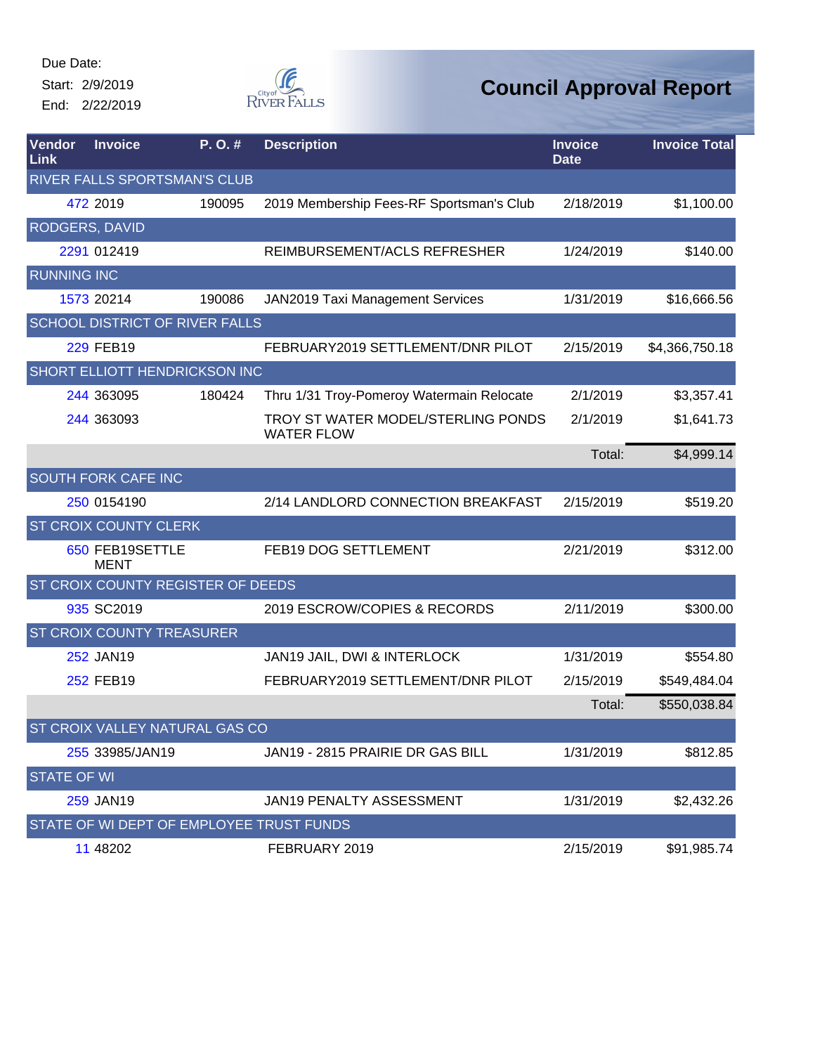Start: 2/9/2019

End: 2/22/2019



| Vendor<br>Link        | <b>Invoice</b>                           | P.O.#  | <b>Description</b>                                      | <b>Invoice</b><br><b>Date</b> | <b>Invoice Total</b> |
|-----------------------|------------------------------------------|--------|---------------------------------------------------------|-------------------------------|----------------------|
|                       | RIVER FALLS SPORTSMAN'S CLUB             |        |                                                         |                               |                      |
|                       | 472 2019                                 | 190095 | 2019 Membership Fees-RF Sportsman's Club                | 2/18/2019                     | \$1,100.00           |
| <b>RODGERS, DAVID</b> |                                          |        |                                                         |                               |                      |
|                       | 2291 012419                              |        | REIMBURSEMENT/ACLS REFRESHER                            | 1/24/2019                     | \$140.00             |
| <b>RUNNING INC</b>    |                                          |        |                                                         |                               |                      |
|                       | 1573 20214                               | 190086 | JAN2019 Taxi Management Services                        | 1/31/2019                     | \$16,666.56          |
|                       | <b>SCHOOL DISTRICT OF RIVER FALLS</b>    |        |                                                         |                               |                      |
|                       | <b>229 FEB19</b>                         |        | FEBRUARY2019 SETTLEMENT/DNR PILOT                       | 2/15/2019                     | \$4,366,750.18       |
|                       | SHORT ELLIOTT HENDRICKSON INC            |        |                                                         |                               |                      |
|                       | 244 363095                               | 180424 | Thru 1/31 Troy-Pomeroy Watermain Relocate               | 2/1/2019                      | \$3,357.41           |
|                       | 244 363093                               |        | TROY ST WATER MODEL/STERLING PONDS<br><b>WATER FLOW</b> | 2/1/2019                      | \$1,641.73           |
|                       |                                          |        |                                                         | Total:                        | \$4,999.14           |
|                       | <b>SOUTH FORK CAFE INC</b>               |        |                                                         |                               |                      |
|                       | 250 0154190                              |        | 2/14 LANDLORD CONNECTION BREAKFAST                      | 2/15/2019                     | \$519.20             |
|                       | <b>ST CROIX COUNTY CLERK</b>             |        |                                                         |                               |                      |
|                       | 650 FEB19SETTLE<br><b>MENT</b>           |        | FEB19 DOG SETTLEMENT                                    | 2/21/2019                     | \$312.00             |
|                       | ST CROIX COUNTY REGISTER OF DEEDS        |        |                                                         |                               |                      |
|                       | 935 SC2019                               |        | 2019 ESCROW/COPIES & RECORDS                            | 2/11/2019                     | \$300.00             |
|                       | <b>ST CROIX COUNTY TREASURER</b>         |        |                                                         |                               |                      |
|                       | 252 JAN19                                |        | JAN19 JAIL, DWI & INTERLOCK                             | 1/31/2019                     | \$554.80             |
|                       | 252 FEB19                                |        | FEBRUARY2019 SETTLEMENT/DNR PILOT                       | 2/15/2019                     | \$549,484.04         |
|                       |                                          |        |                                                         | Total:                        | \$550,038.84         |
|                       | ST CROIX VALLEY NATURAL GAS CO           |        |                                                         |                               |                      |
|                       | 255 33985/JAN19                          |        | JAN19 - 2815 PRAIRIE DR GAS BILL                        | 1/31/2019                     | \$812.85             |
| <b>STATE OF WI</b>    |                                          |        |                                                         |                               |                      |
|                       | 259 JAN19                                |        | JAN19 PENALTY ASSESSMENT                                | 1/31/2019                     | \$2,432.26           |
|                       | STATE OF WI DEPT OF EMPLOYEE TRUST FUNDS |        |                                                         |                               |                      |
|                       | 11 48202                                 |        | FEBRUARY 2019                                           | 2/15/2019                     | \$91,985.74          |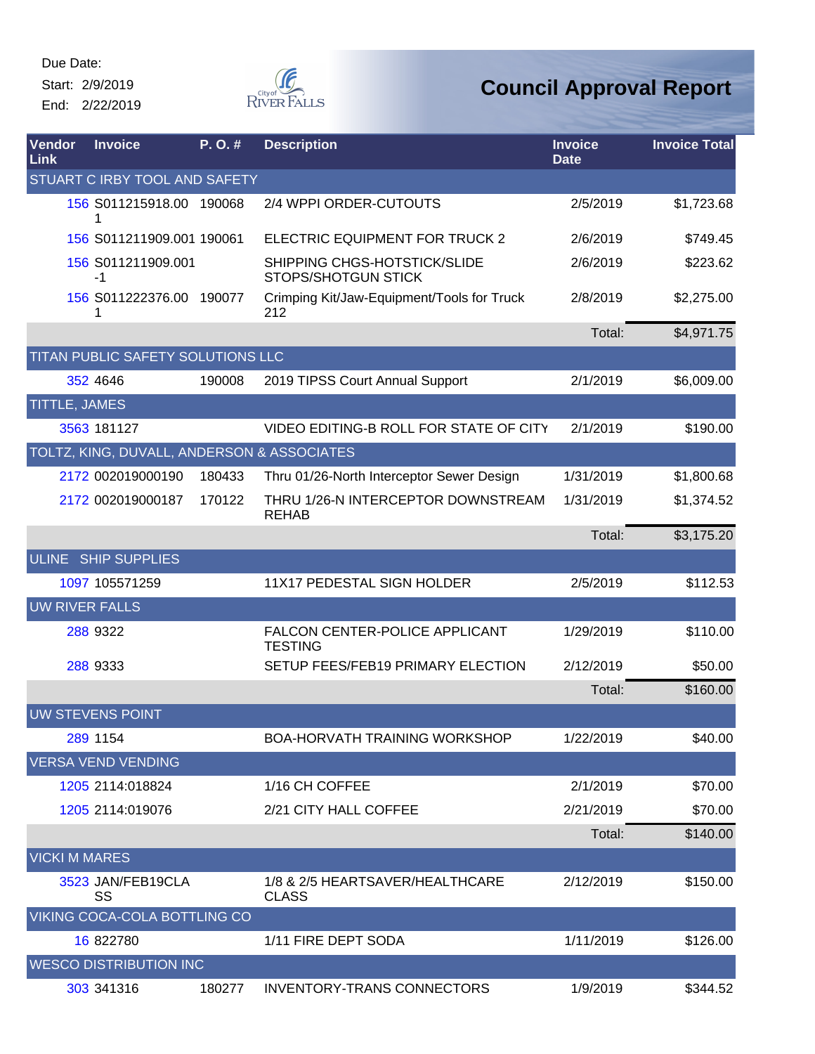Start: 2/9/2019

End: 2/22/2019



| Vendor<br>Link        | <b>Invoice</b>                             | P.O.#  | <b>Description</b>                                         | <b>Invoice</b><br><b>Date</b> | <b>Invoice Total</b> |
|-----------------------|--------------------------------------------|--------|------------------------------------------------------------|-------------------------------|----------------------|
|                       | <b>STUART C IRBY TOOL AND SAFETY</b>       |        |                                                            |                               |                      |
|                       | 156 S011215918.00 190068                   |        | 2/4 WPPI ORDER-CUTOUTS                                     | 2/5/2019                      | \$1,723.68           |
|                       | 156 S011211909.001 190061                  |        | ELECTRIC EQUIPMENT FOR TRUCK 2                             | 2/6/2019                      | \$749.45             |
|                       | 156 S011211909.001<br>$-1$                 |        | SHIPPING CHGS-HOTSTICK/SLIDE<br><b>STOPS/SHOTGUN STICK</b> | 2/6/2019                      | \$223.62             |
|                       | 156 S011222376.00 190077                   |        | Crimping Kit/Jaw-Equipment/Tools for Truck<br>212          | 2/8/2019                      | \$2,275.00           |
|                       |                                            |        |                                                            | Total:                        | \$4,971.75           |
|                       | TITAN PUBLIC SAFETY SOLUTIONS LLC          |        |                                                            |                               |                      |
|                       | 352 4646                                   | 190008 | 2019 TIPSS Court Annual Support                            | 2/1/2019                      | \$6,009.00           |
| TITTLE, JAMES         |                                            |        |                                                            |                               |                      |
|                       | 3563 181127                                |        | VIDEO EDITING-B ROLL FOR STATE OF CITY                     | 2/1/2019                      | \$190.00             |
|                       | TOLTZ, KING, DUVALL, ANDERSON & ASSOCIATES |        |                                                            |                               |                      |
|                       | 2172 002019000190                          | 180433 | Thru 01/26-North Interceptor Sewer Design                  | 1/31/2019                     | \$1,800.68           |
|                       | 2172 002019000187                          | 170122 | THRU 1/26-N INTERCEPTOR DOWNSTREAM<br><b>REHAB</b>         | 1/31/2019                     | \$1,374.52           |
|                       |                                            |        |                                                            | Total:                        | \$3,175.20           |
| <b>ULINE</b>          | <b>SHIP SUPPLIES</b>                       |        |                                                            |                               |                      |
|                       | 1097 105571259                             |        | 11X17 PEDESTAL SIGN HOLDER                                 | 2/5/2019                      | \$112.53             |
| <b>UW RIVER FALLS</b> |                                            |        |                                                            |                               |                      |
|                       | 288 9322                                   |        | FALCON CENTER-POLICE APPLICANT<br><b>TESTING</b>           | 1/29/2019                     | \$110.00             |
|                       | 288 9333                                   |        | SETUP FEES/FEB19 PRIMARY ELECTION                          | 2/12/2019                     | \$50.00              |
|                       |                                            |        |                                                            | Total:                        | \$160.00             |
|                       | <b>UW STEVENS POINT</b>                    |        |                                                            |                               |                      |
|                       | 289 1154                                   |        | <b>BOA-HORVATH TRAINING WORKSHOP</b>                       | 1/22/2019                     | \$40.00              |
|                       | <b>VERSA VEND VENDING</b>                  |        |                                                            |                               |                      |
|                       | 1205 2114:018824                           |        | 1/16 CH COFFEE                                             | 2/1/2019                      | \$70.00              |
|                       | 1205 2114:019076                           |        | 2/21 CITY HALL COFFEE                                      | 2/21/2019                     | \$70.00              |
|                       |                                            |        |                                                            | Total:                        | \$140.00             |
| <b>VICKI M MARES</b>  |                                            |        |                                                            |                               |                      |
|                       | 3523 JAN/FEB19CLA<br>SS                    |        | 1/8 & 2/5 HEARTSAVER/HEALTHCARE<br><b>CLASS</b>            | 2/12/2019                     | \$150.00             |
|                       | VIKING COCA-COLA BOTTLING CO               |        |                                                            |                               |                      |
|                       | 16 822780                                  |        | 1/11 FIRE DEPT SODA                                        | 1/11/2019                     | \$126.00             |
|                       | <b>WESCO DISTRIBUTION INC</b>              |        |                                                            |                               |                      |
|                       | 303 341316                                 | 180277 | <b>INVENTORY-TRANS CONNECTORS</b>                          | 1/9/2019                      | \$344.52             |